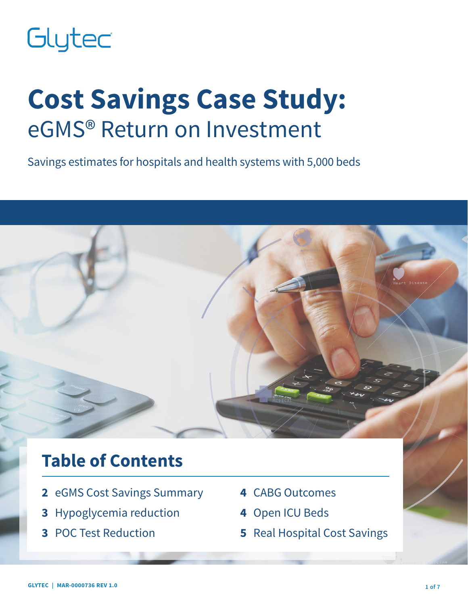# Glytec

# **Cost Savings Case Study:** eGMS® Return on Investment

Savings estimates for hospitals and health systems with 5,000 beds

# **Table of Contents**

- **2** eGMS Cost Savings Summary
- **3** Hypoglycemia reduction
- **3** POC Test Reduction
- **4** CABG Outcomes
- **4** Open ICU Beds
- **5** Real Hospital Cost Savings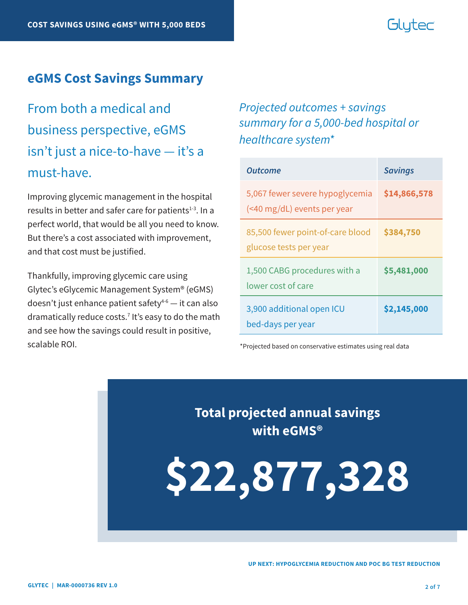# Glutec

#### **eGMS Cost Savings Summary**

From both a medical and business perspective, eGMS isn't just a nice-to-have — it's a must-have.

Improving glycemic management in the hospital results in better and safer care for patients $1-3$ . In a perfect world, that would be all you need to know. But there's a cost associated with improvement, and that cost must be justified.

Thankfully, improving glycemic care using Glytec's eGlycemic Management System® (eGMS) doesn't just enhance patient safety $4-6$  — it can also dramatically reduce costs.7 It's easy to do the math and see how the savings could result in positive, scalable ROI.

### *Projected outcomes + savings summary for a 5,000-bed hospital or healthcare system\**

| Outcome                                                        | <b>Savings</b> |
|----------------------------------------------------------------|----------------|
| 5,067 fewer severe hypoglycemia<br>(<40 mg/dL) events per year | \$14,866,578   |
| 85,500 fewer point-of-care blood<br>glucose tests per year     | \$384,750      |
| 1,500 CABG procedures with a<br>lower cost of care             | \$5,481,000    |
| 3,900 additional open ICU<br>bed-days per year                 | \$2,145,000    |

\*Projected based on conservative estimates using real data

**Total projected annual savings with eGMS®**

**\$22,877,328**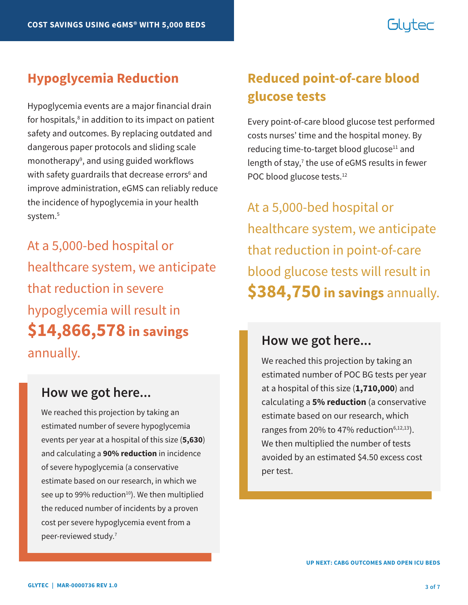# Glutec

Hypoglycemia events are a major financial drain for hospitals,<sup>8</sup> in addition to its impact on patient safety and outcomes. By replacing outdated and dangerous paper protocols and sliding scale monotherapy<sup>9</sup>, and using guided workflows with safety guardrails that decrease errors<sup>6</sup> and improve administration, eGMS can reliably reduce the incidence of hypoglycemia in your health system.<sup>5</sup>

At a 5,000-bed hospital or healthcare system, we anticipate that reduction in severe hypoglycemia will result in **\$14,866,578 in savings** annually.

#### **How we got here...**

We reached this projection by taking an estimated number of severe hypoglycemia events per year at a hospital of this size (**5,630**) and calculating a **90% reduction** in incidence of severe hypoglycemia (a conservative estimate based on our research, in which we see up to 99% reduction $10$ . We then multiplied the reduced number of incidents by a proven cost per severe hypoglycemia event from a peer-reviewed study.7

## **Hypoglycemia Reduction Reduced point-of-care blood glucose tests**

Every point-of-care blood glucose test performed costs nurses' time and the hospital money. By reducing time-to-target blood glucose<sup>11</sup> and length of stay,<sup>7</sup> the use of eGMS results in fewer POC blood glucose tests.<sup>12</sup>

At a 5,000-bed hospital or healthcare system, we anticipate that reduction in point-of-care blood glucose tests will result in **\$384,750 in savings** annually.

### **How we got here...**

We reached this projection by taking an estimated number of POC BG tests per year at a hospital of this size (**1,710,000**) and calculating a **5% reduction** (a conservative estimate based on our research, which ranges from 20% to 47% reduction $6,12,13$ ). We then multiplied the number of tests avoided by an estimated \$4.50 excess cost per test.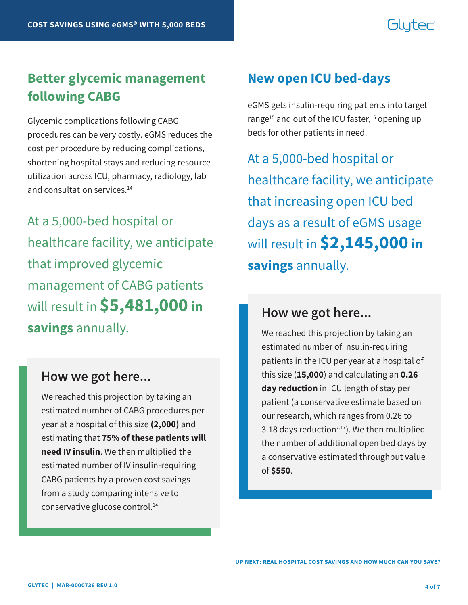# Glutec

## **Better glycemic management following CABG**

Glycemic complications following CABG procedures can be very costly. eGMS reduces the cost per procedure by reducing complications, shortening hospital stays and reducing resource utilization across ICU, pharmacy, radiology, lab and consultation services.<sup>14</sup>

At a 5,000-bed hospital or healthcare facility, we anticipate that improved glycemic management of CABG patients will result in **\$5,481,000 in savings** annually.

#### **How we got here...**

We reached this projection by taking an estimated number of CABG procedures per year at a hospital of this size **(2,000)** and estimating that **75% of these patients will need IV insulin**. We then multiplied the estimated number of IV insulin-requiring CABG patients by a proven cost savings from a study comparing intensive to conservative glucose control.14

### **New open ICU bed-days**

eGMS gets insulin-requiring patients into target range<sup>15</sup> and out of the ICU faster,<sup>16</sup> opening up beds for other patients in need.

At a 5,000-bed hospital or healthcare facility, we anticipate that increasing open ICU bed days as a result of eGMS usage will result in **\$2,145,000 in savings** annually.

#### **How we got here...**

We reached this projection by taking an estimated number of insulin-requiring patients in the ICU per year at a hospital of this size (**15,000**) and calculating an **0.26 day reduction** in ICU length of stay per patient (a conservative estimate based on our research, which ranges from 0.26 to 3.18 days reduction<sup>7,17</sup>). We then multiplied the number of additional open bed days by a conservative estimated throughput value of **\$550**.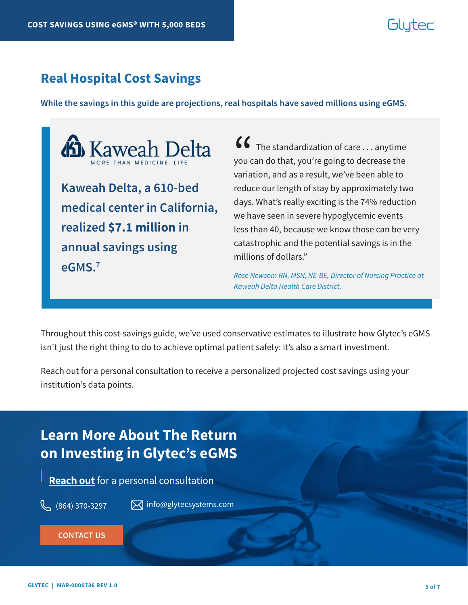# Gluter

### **Real Hospital Cost Savings**

**While the savings in this guide are projections, real hospitals have saved millions using eGMS.** 



**medical center in California, realized \$7.1 million in annual savings using eGMS.7**

 $\bullet\bullet\bullet\bullet$  The standardization of care  $\ldots$  anytime you can do that, you're going to decrease the variation, and as a result, we've been able to reduce our length of stay by approximately two days. What's really exciting is the 74% reduction we have seen in severe hypoglycemic events less than 40, because we know those can be very catastrophic and the potential savings is in the millions of dollars."  $\binom{6}{}$ you c<br>varia

*Rose Newsom RN, MSN, NE-BE, Director of Nursing Practice at Kaweah Delta Health Care District.*

Throughout this cost-savings guide, we've used conservative estimates to illustrate how Glytec's eGMS isn't just the right thing to do to achieve optimal patient safety: it's also a smart investment.

Reach out for a personal consultation to receive a personalized projected cost savings using your institution's data points.

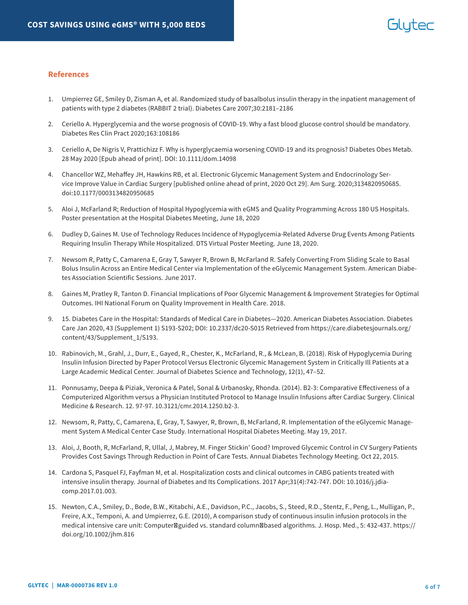#### **References**

- 1. Umpierrez GE, Smiley D, Zisman A, et al. Randomized study of basalbolus insulin therapy in the inpatient management of patients with type 2 diabetes (RABBIT 2 trial). Diabetes Care 2007;30:2181–2186
- 2. Ceriello A. Hyperglycemia and the worse prognosis of COVID-19. Why a fast blood glucose control should be mandatory. Diabetes Res Clin Pract 2020;163:108186
- 3. Ceriello A, De Nigris V, Prattichizz F. Why is hyperglycaemia worsening COVID-19 and its prognosis? Diabetes Obes Metab. 28 May 2020 [Epub ahead of print]. DOI: 10.1111/dom.14098
- 4. Chancellor WZ, Mehaffey JH, Hawkins RB, et al. Electronic Glycemic Management System and Endocrinology Service Improve Value in Cardiac Surgery [published online ahead of print, 2020 Oct 29]. Am Surg. 2020;3134820950685. doi:10.1177/0003134820950685
- 5. Aloi J, McFarland R; Reduction of Hospital Hypoglycemia with eGMS and Quality Programming Across 180 US Hospitals. Poster presentation at the Hospital Diabetes Meeting, June 18, 2020
- 6. Dudley D, Gaines M. Use of Technology Reduces Incidence of Hypoglycemia-Related Adverse Drug Events Among Patients Requiring Insulin Therapy While Hospitalized. DTS Virtual Poster Meeting. June 18, 2020.
- 7. Newsom R, Patty C, Camarena E, Gray T, Sawyer R, Brown B, McFarland R. Safely Converting From Sliding Scale to Basal Bolus Insulin Across an Entire Medical Center via Implementation of the eGlycemic Management System. American Diabetes Association Scientific Sessions. June 2017.
- 8. Gaines M, Pratley R, Tanton D. Financial Implications of Poor Glycemic Management & Improvement Strategies for Optimal Outcomes. IHI National Forum on Quality Improvement in Health Care. 2018.
- 9. 15. Diabetes Care in the Hospital: Standards of Medical Care in Diabetes—2020. American Diabetes Association. Diabetes Care Jan 2020, 43 (Supplement 1) S193-S202; DOI: 10.2337/dc20-S015 Retrieved from https://care.diabetesjournals.org/ content/43/Supplement\_1/S193.
- 10. Rabinovich, M., Grahl, J., Durr, E., Gayed, R., Chester, K., McFarland, R., & McLean, B. (2018). Risk of Hypoglycemia During Insulin Infusion Directed by Paper Protocol Versus Electronic Glycemic Management System in Critically Ill Patients at a Large Academic Medical Center. Journal of Diabetes Science and Technology, 12(1), 47–52.
- 11. Ponnusamy, Deepa & Piziak, Veronica & Patel, Sonal & Urbanosky, Rhonda. (2014). B2-3: Comparative Effectiveness of a Computerized Algorithm versus a Physician Instituted Protocol to Manage Insulin Infusions after Cardiac Surgery. Clinical Medicine & Research. 12. 97-97. 10.3121/cmr.2014.1250.b2-3.
- 12. Newsom, R, Patty, C, Camarena, E, Gray, T, Sawyer, R, Brown, B, McFarland, R. Implementation of the eGlycemic Management System A Medical Center Case Study. International Hospital Diabetes Meeting. May 19, 2017.
- 13. Aloi, J, Booth, R, McFarland, R, Ullal, J, Mabrey, M. Finger Stickin' Good? Improved Glycemic Control in CV Surgery Patients Provides Cost Savings Through Reduction in Point of Care Tests. Annual Diabetes Technology Meeting. Oct 22, 2015.
- 14. Cardona S, Pasquel FJ, Fayfman M, et al. Hospitalization costs and clinical outcomes in CABG patients treated with intensive insulin therapy. Journal of Diabetes and Its Complications. 2017 Apr;31(4):742-747. DOI: 10.1016/j.jdiacomp.2017.01.003.
- 15. Newton, C.A., Smiley, D., Bode, B.W., Kitabchi, A.E., Davidson, P.C., Jacobs, S., Steed, R.D., Stentz, F., Peng, L., Mulligan, P., Freire, A.X., Temponi, A. and Umpierrez, G.E. (2010), A comparison study of continuous insulin infusion protocols in the medical intensive care unit: Computer guided vs. standard column based algorithms. J. Hosp. Med., 5: 432-437. https:// doi.org/10.1002/jhm.816